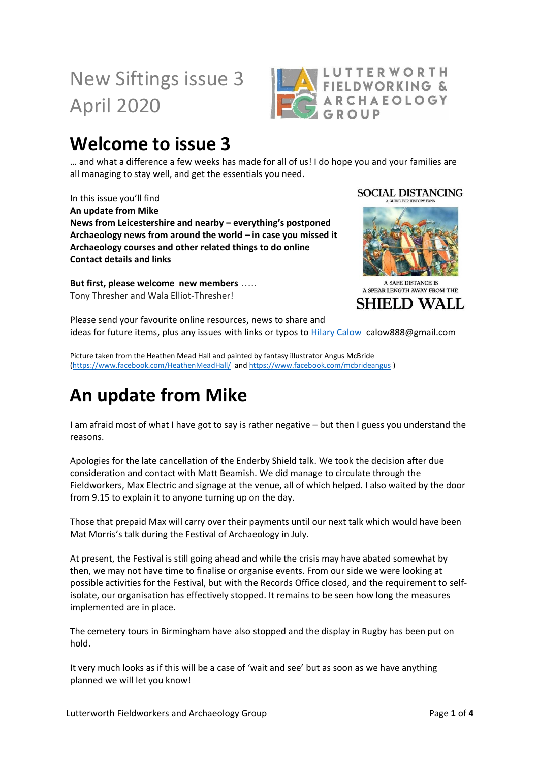# New Siftings issue 3 April 2020



#### **Welcome to issue 3**

… and what a difference a few weeks has made for all of us! I do hope you and your families are all managing to stay well, and get the essentials you need.

In this issue you'll find **An update from Mike News from Leicestershire and nearby – everything's postponed Archaeology news from around the world – in case you missed it Archaeology courses and other related things to do online Contact details and links**

**But first, please welcome new members** ….. Tony Thresher and Wala Elliot-Thresher!

**SOCIAL DISTANCING** 



A SAFE DISTANCE IS A SPEAR LENGTH AWAY FROM THE **SHIELD WALL** 

Please send your favourite online resources, news to share and ideas for future items, plus any issues with links or typos to [Hilary Calow](mailto:calow888@gmail.com) calow888@gmail.com

Picture taken from the Heathen Mead Hall and painted by fantasy illustrator Angus McBride [\(https://www.facebook.com/HeathenMeadHall/](https://www.facebook.com/HeathenMeadHall/) an[d https://www.facebook.com/mcbrideangus](https://www.facebook.com/mcbrideangus) )

# **An update from Mike**

I am afraid most of what I have got to say is rather negative – but then I guess you understand the reasons.

Apologies for the late cancellation of the Enderby Shield talk. We took the decision after due consideration and contact with Matt Beamish. We did manage to circulate through the Fieldworkers, Max Electric and signage at the venue, all of which helped. I also waited by the door from 9.15 to explain it to anyone turning up on the day.

Those that prepaid Max will carry over their payments until our next talk which would have been Mat Morris's talk during the Festival of Archaeology in July.

At present, the Festival is still going ahead and while the crisis may have abated somewhat by then, we may not have time to finalise or organise events. From our side we were looking at possible activities for the Festival, but with the Records Office closed, and the requirement to selfisolate, our organisation has effectively stopped. It remains to be seen how long the measures implemented are in place.

The cemetery tours in Birmingham have also stopped and the display in Rugby has been put on hold.

It very much looks as if this will be a case of 'wait and see' but as soon as we have anything planned we will let you know!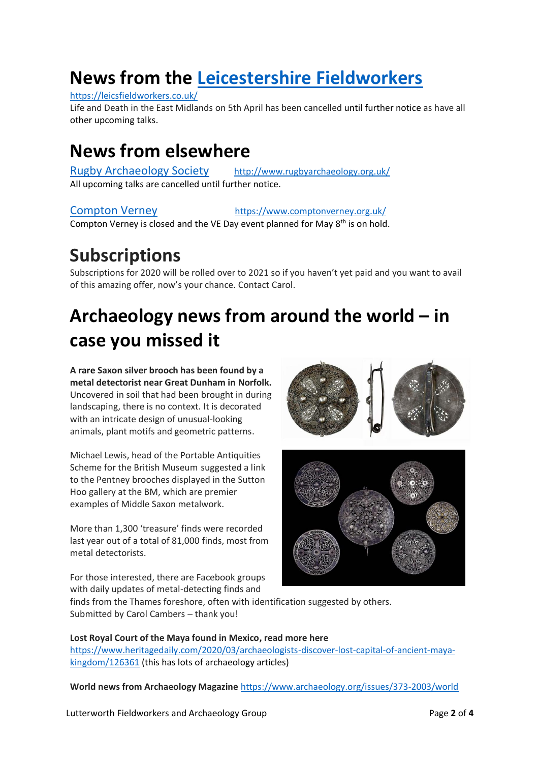### **News from the [Leicestershire Fieldworkers](https://leicsfieldworkers.co.uk/)**

#### <https://leicsfieldworkers.co.uk/>

Life and Death in the East Midlands on 5th April has been cancelled until further notice as have all other upcoming talks.

#### **News from elsewhere**

[Rugby Archaeology Society](http://www.rugbyarchaeology.org.uk/) <http://www.rugbyarchaeology.org.uk/> All upcoming talks are cancelled until further notice.

#### Compton Verney [https://www.comptonverney.org.uk/](https://d.docs.live.net/d3c2f36f33f598f1/hilary%20new/archaeology/lutterworth%20LFAG/Compton%20Verney%20%20%20%20%20%20%20%20%20%20%20%20%20%20%20%20%20%20%20%20%20%20%20%20%20%20%20https:/www.comptonverney.org.uk/)

Compton Verney is closed and the VE Day event planned for May  $8<sup>th</sup>$  is on hold.

#### **Subscriptions**

Subscriptions for 2020 will be rolled over to 2021 so if you haven't yet paid and you want to avail of this amazing offer, now's your chance. Contact Carol.

# **Archaeology news from around the world – in case you missed it**

**A rare Saxon silver brooch has been found by a metal detectorist near Great Dunham in Norfolk.** Uncovered in soil that had been brought in during landscaping, there is no context. It is decorated with an intricate design of unusual-looking animals, plant motifs and geometric patterns.

Michael Lewis, head of the Portable Antiquities Scheme for the British Museum suggested a link to the Pentney brooches displayed in the Sutton Hoo gallery at the BM, which are premier examples of Middle Saxon metalwork.

More than 1,300 'treasure' finds were recorded last year out of a total of 81,000 finds, most from metal detectorists.

For those interested, there are Facebook groups with daily updates of metal-detecting finds and





finds from the Thames foreshore, often with identification suggested by others. Submitted by Carol Cambers – thank you!

**Lost Royal Court of the Maya found in Mexico, read more here**  [https://www.heritagedaily.com/2020/03/archaeologists-discover-lost-capital-of-ancient-maya](https://www.heritagedaily.com/2020/03/archaeologists-discover-lost-capital-of-ancient-maya-kingdom/126361)[kingdom/126361](https://www.heritagedaily.com/2020/03/archaeologists-discover-lost-capital-of-ancient-maya-kingdom/126361) (this has lots of archaeology articles)

**World news from Archaeology Magazine** <https://www.archaeology.org/issues/373-2003/world>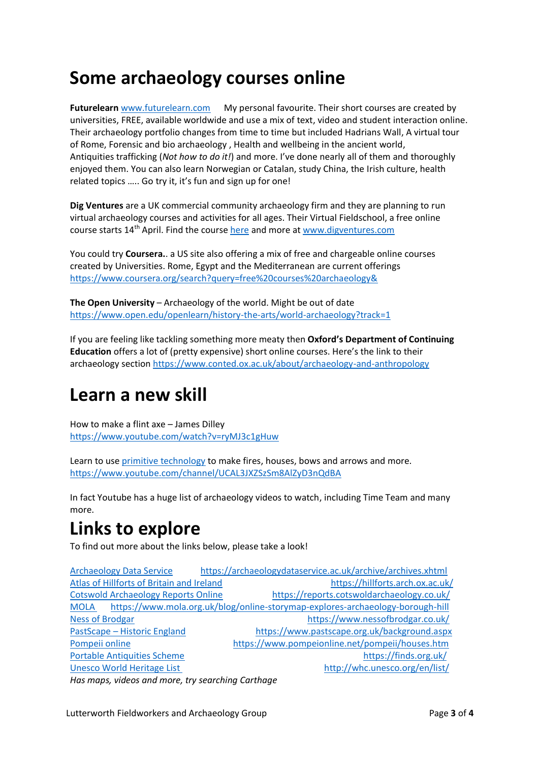#### **Some archaeology courses online**

**Futurelearn** [www.futurelearn.com](http://www.futurelearn.com/) My personal favourite. Their short courses are created by universities, FREE, available worldwide and use a mix of text, video and student interaction online. Their archaeology portfolio changes from time to time but included Hadrians Wall, A virtual tour of Rome, Forensic and bio archaeology , Health and wellbeing in the ancient world, Antiquities trafficking (*Not how to do it!*) and more. I've done nearly all of them and thoroughly enjoyed them. You can also learn Norwegian or Catalan, study China, the Irish culture, health related topics ….. Go try it, it's fun and sign up for one!

**Dig Ventures** are a UK commercial community archaeology firm and they are planning to run virtual archaeology courses and activities for all ages. Their Virtual Fieldschool, a free online course starts 14<sup>th</sup> April. Find the cours[e here](https://digventures.com/shop/how-to-do-archaeology/?utm_source=DigVentures+News&utm_campaign=9523345469-EMAIL_CAMPAIGN_2020_03_26_10_54&utm_medium=email&utm_term=0_29f3f996a2-9523345469-116650137&mc_cid=9523345469&mc_eid=f671b35ec5) and more at [www.digventures.com](http://www.digventures.com/)

You could try **Coursera.**. a US site also offering a mix of free and chargeable online courses created by Universities. Rome, Egypt and the Mediterranean are current offerings <https://www.coursera.org/search?query=free%20courses%20archaeology&>

**The Open University** – Archaeology of the world. Might be out of date <https://www.open.edu/openlearn/history-the-arts/world-archaeology?track=1>

If you are feeling like tackling something more meaty then **Oxford's Department of Continuing Education** offers a lot of (pretty expensive) short online courses. Here's the link to their archaeology section<https://www.conted.ox.ac.uk/about/archaeology-and-anthropology>

#### **Learn a new skill**

How to make a flint axe – James Dilley <https://www.youtube.com/watch?v=ryMJ3c1gHuw>

Learn to use [primitive technology](https://www.youtube.com/channel/UCAL3JXZSzSm8AlZyD3nQdBA) to make fires, houses, bows and arrows and more. <https://www.youtube.com/channel/UCAL3JXZSzSm8AlZyD3nQdBA>

In fact Youtube has a huge list of archaeology videos to watch, including Time Team and many more.

### **Links to explore**

To find out more about the links below, please take a look!

[Archaeology Data Service](https://archaeologydataservice.ac.uk/archive/archives.xhtml) <https://archaeologydataservice.ac.uk/archive/archives.xhtml> [Atlas of Hillforts of Britain and Ireland](https://hillforts.arch.ox.ac.uk/) <https://hillforts.arch.ox.ac.uk/> [Cotswold Archaeology Reports Online](https://reports.cotswoldarchaeology.co.uk/) <https://reports.cotswoldarchaeology.co.uk/> [MOLA](MOLA%20) <https://www.mola.org.uk/blog/online-storymap-explores-archaeology-borough-hill> [Ness of Brodgar https://www.nessofbrodgar.co.uk/](https://www.nessofbrodgar.co.uk/) PastScape – [Historic England https://www.pastscape.org.uk/background.aspx](https://www.pastscape.org.uk/background.aspx) [Pompeii online](Pompeii%20online) <https://www.pompeionline.net/pompeii/houses.htm> [Portable Antiquities Scheme](https://finds.org.uk/) <https://finds.org.uk/> [Unesco World Heritage List](Unesco%20World%20Heritage%20List%20%20%20%20%20%20%20%20%20%20%20%20%20%20%20%20%20%20%20%20%20%20%20%20%20%20%20%20%20%20%20%20%20%20%20%20%20%20%20%20%20%20%20%20%20%20%20%20%20%20%20%20%20%20%20%20%20%20%20%20%20%20%20) <http://whc.unesco.org/en/list/> *Has maps, videos and more, try searching Carthage*